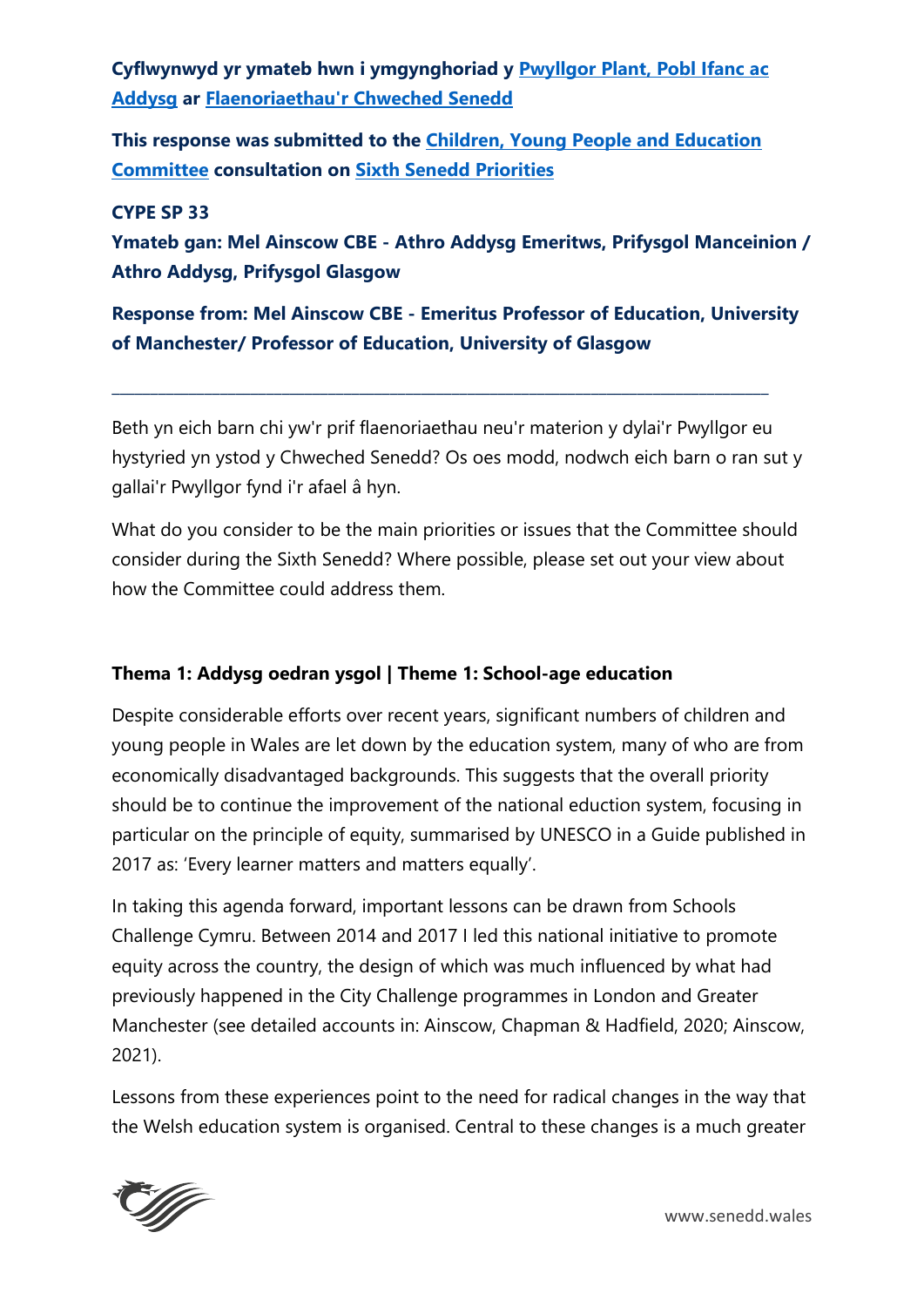**Cyflwynwyd yr ymateb hwn i ymgynghoriad y [Pwyllgor Plant, Pobl Ifanc ac](https://senedd.cymru/pwyllgorau/y-pwyllgor-plant-pobl-ifanc-ac-addysg/)  [Addysg](https://senedd.cymru/pwyllgorau/y-pwyllgor-plant-pobl-ifanc-ac-addysg/) ar [Flaenoriaethau'r Chweched Senedd](https://busnes.senedd.cymru/mgConsultationDisplay.aspx?id=426&RPID=1025311385&cp=yes)**

**This response was submitted to the [Children, Young People and Education](https://senedd.wales/committee/736)  [Committee](https://senedd.wales/committee/736) consultation on [Sixth Senedd Priorities](https://business.senedd.wales/mgConsultationDisplay.aspx?id=426&RPID=1025311385&cp=yes)**

#### **CYPE SP 33**

**Ymateb gan: Mel Ainscow CBE - Athro Addysg Emeritws, Prifysgol Manceinion / Athro Addysg, Prifysgol Glasgow**

**Response from: Mel Ainscow CBE - Emeritus Professor of Education, University of Manchester/ Professor of Education, University of Glasgow**

**\_\_\_\_\_\_\_\_\_\_\_\_\_\_\_\_\_\_\_\_\_\_\_\_\_\_\_\_\_\_\_\_\_\_\_\_\_\_\_\_\_\_\_\_\_\_\_\_\_\_\_\_\_\_\_\_\_\_\_\_\_\_\_\_\_\_\_\_\_\_\_\_\_\_\_\_\_\_\_\_\_\_\_\_\_**

Beth yn eich barn chi yw'r prif flaenoriaethau neu'r materion y dylai'r Pwyllgor eu hystyried yn ystod y Chweched Senedd? Os oes modd, nodwch eich barn o ran sut y gallai'r Pwyllgor fynd i'r afael â hyn.

What do you consider to be the main priorities or issues that the Committee should consider during the Sixth Senedd? Where possible, please set out your view about how the Committee could address them.

### **Thema 1: Addysg oedran ysgol | Theme 1: School-age education**

Despite considerable efforts over recent years, significant numbers of children and young people in Wales are let down by the education system, many of who are from economically disadvantaged backgrounds. This suggests that the overall priority should be to continue the improvement of the national eduction system, focusing in particular on the principle of equity, summarised by UNESCO in a Guide published in 2017 as: 'Every learner matters and matters equally'.

In taking this agenda forward, important lessons can be drawn from Schools Challenge Cymru. Between 2014 and 2017 I led this national initiative to promote equity across the country, the design of which was much influenced by what had previously happened in the City Challenge programmes in London and Greater Manchester (see detailed accounts in: Ainscow, Chapman & Hadfield, 2020; Ainscow, 2021).

Lessons from these experiences point to the need for radical changes in the way that the Welsh education system is organised. Central to these changes is a much greater



www.senedd.wales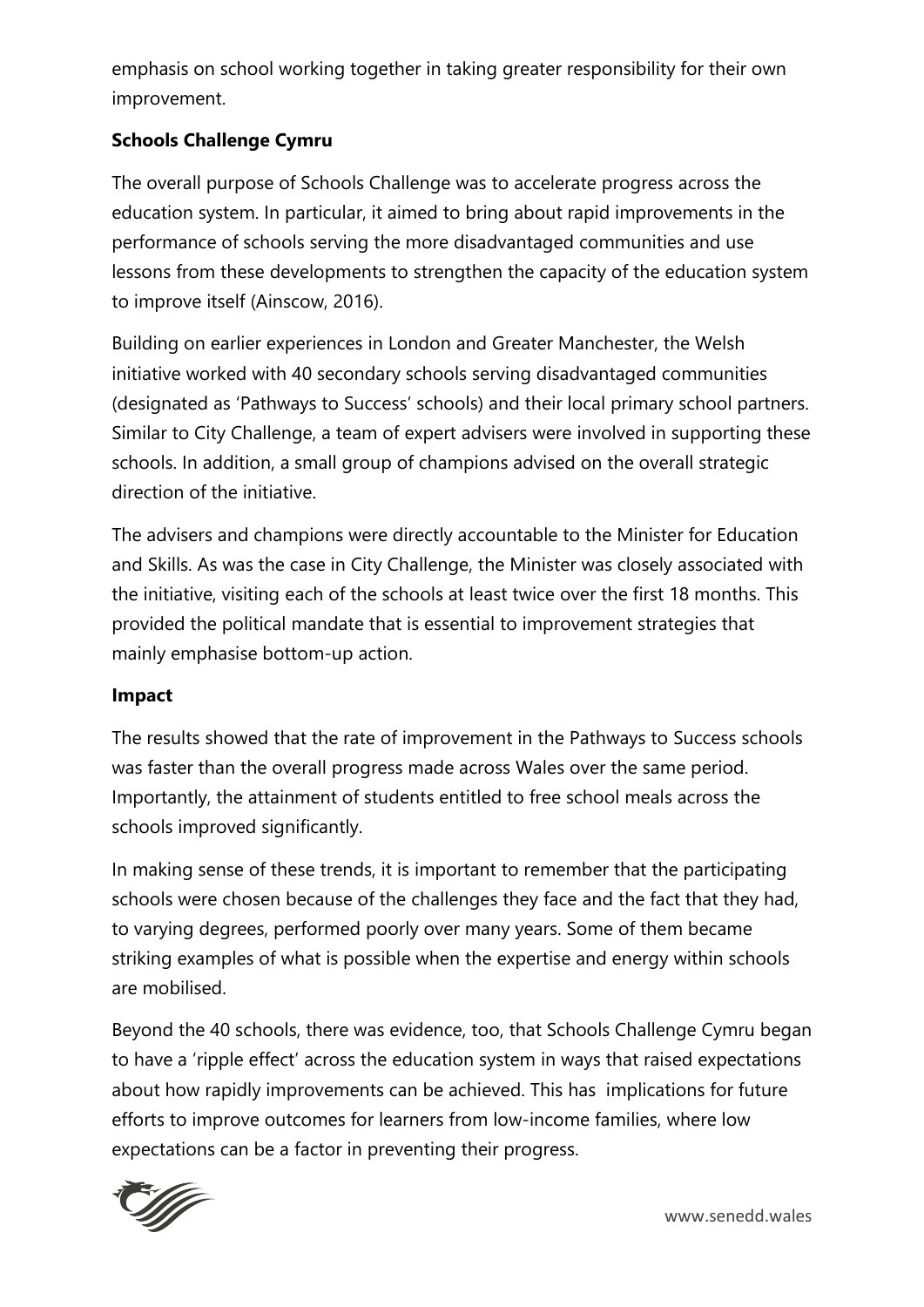emphasis on school working together in taking greater responsibility for their own improvement.

# **Schools Challenge Cymru**

The overall purpose of Schools Challenge was to accelerate progress across the education system. In particular, it aimed to bring about rapid improvements in the performance of schools serving the more disadvantaged communities and use lessons from these developments to strengthen the capacity of the education system to improve itself (Ainscow, 2016).

Building on earlier experiences in London and Greater Manchester, the Welsh initiative worked with 40 secondary schools serving disadvantaged communities (designated as 'Pathways to Success' schools) and their local primary school partners. Similar to City Challenge, a team of expert advisers were involved in supporting these schools. In addition, a small group of champions advised on the overall strategic direction of the initiative.

The advisers and champions were directly accountable to the Minister for Education and Skills. As was the case in City Challenge, the Minister was closely associated with the initiative, visiting each of the schools at least twice over the first 18 months. This provided the political mandate that is essential to improvement strategies that mainly emphasise bottom-up action.

### **Impact**

The results showed that the rate of improvement in the Pathways to Success schools was faster than the overall progress made across Wales over the same period. Importantly, the attainment of students entitled to free school meals across the schools improved significantly.

In making sense of these trends, it is important to remember that the participating schools were chosen because of the challenges they face and the fact that they had, to varying degrees, performed poorly over many years. Some of them became striking examples of what is possible when the expertise and energy within schools are mobilised.

Beyond the 40 schools, there was evidence, too, that Schools Challenge Cymru began to have a 'ripple effect' across the education system in ways that raised expectations about how rapidly improvements can be achieved. This has implications for future efforts to improve outcomes for learners from low-income families, where low expectations can be a factor in preventing their progress.

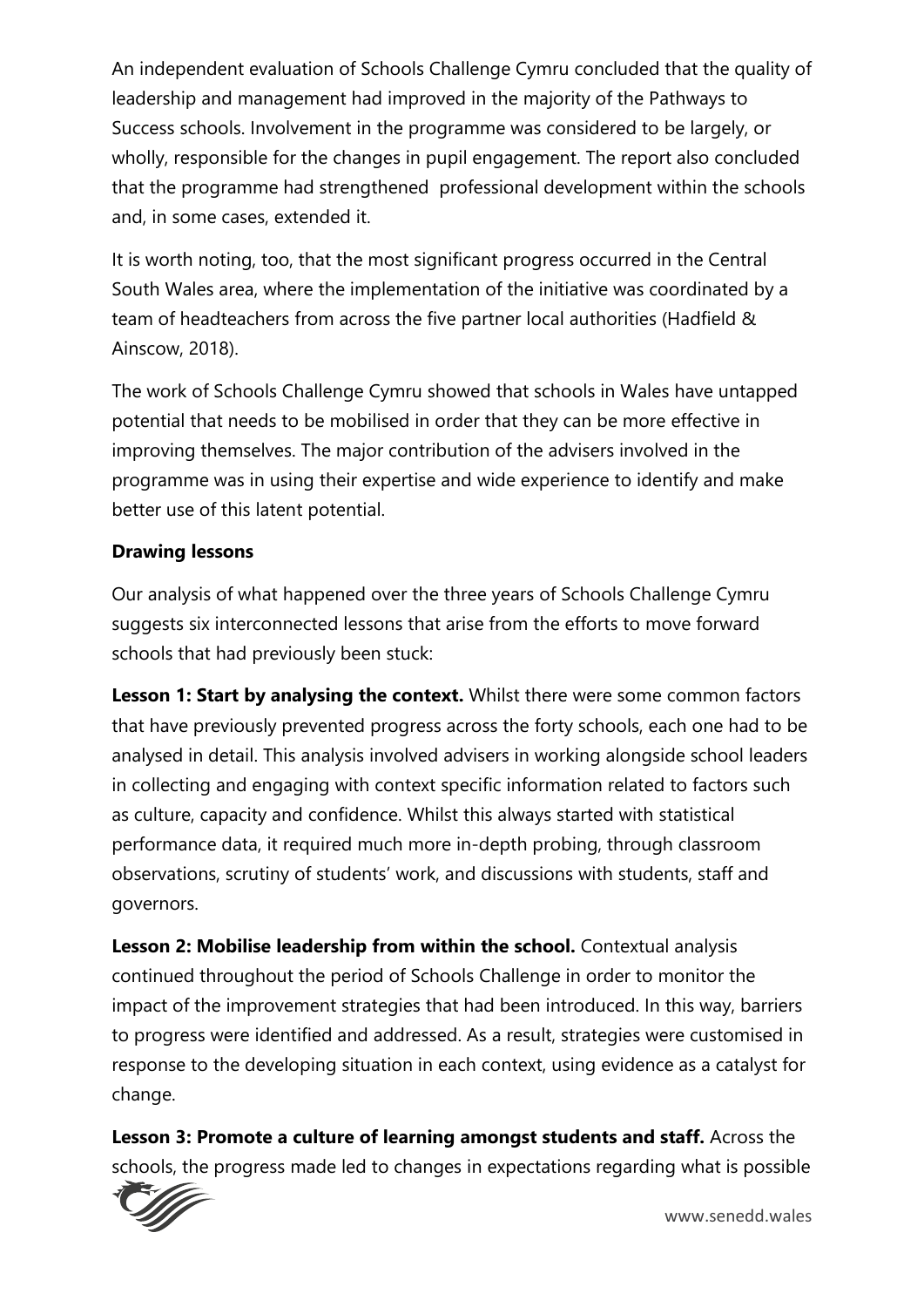An independent evaluation of Schools Challenge Cymru concluded that the quality of leadership and management had improved in the majority of the Pathways to Success schools. Involvement in the programme was considered to be largely, or wholly, responsible for the changes in pupil engagement. The report also concluded that the programme had strengthened professional development within the schools and, in some cases, extended it.

It is worth noting, too, that the most significant progress occurred in the Central South Wales area, where the implementation of the initiative was coordinated by a team of headteachers from across the five partner local authorities (Hadfield & Ainscow, 2018).

The work of Schools Challenge Cymru showed that schools in Wales have untapped potential that needs to be mobilised in order that they can be more effective in improving themselves. The major contribution of the advisers involved in the programme was in using their expertise and wide experience to identify and make better use of this latent potential.

## **Drawing lessons**

Our analysis of what happened over the three years of Schools Challenge Cymru suggests six interconnected lessons that arise from the efforts to move forward schools that had previously been stuck:

**Lesson 1: Start by analysing the context.** Whilst there were some common factors that have previously prevented progress across the forty schools, each one had to be analysed in detail. This analysis involved advisers in working alongside school leaders in collecting and engaging with context specific information related to factors such as culture, capacity and confidence. Whilst this always started with statistical performance data, it required much more in-depth probing, through classroom observations, scrutiny of students' work, and discussions with students, staff and governors.

**Lesson 2: Mobilise leadership from within the school.** Contextual analysis continued throughout the period of Schools Challenge in order to monitor the impact of the improvement strategies that had been introduced. In this way, barriers to progress were identified and addressed. As a result, strategies were customised in response to the developing situation in each context, using evidence as a catalyst for change.

**Lesson 3: Promote a culture of learning amongst students and staff.** Across the schools, the progress made led to changes in expectations regarding what is possible

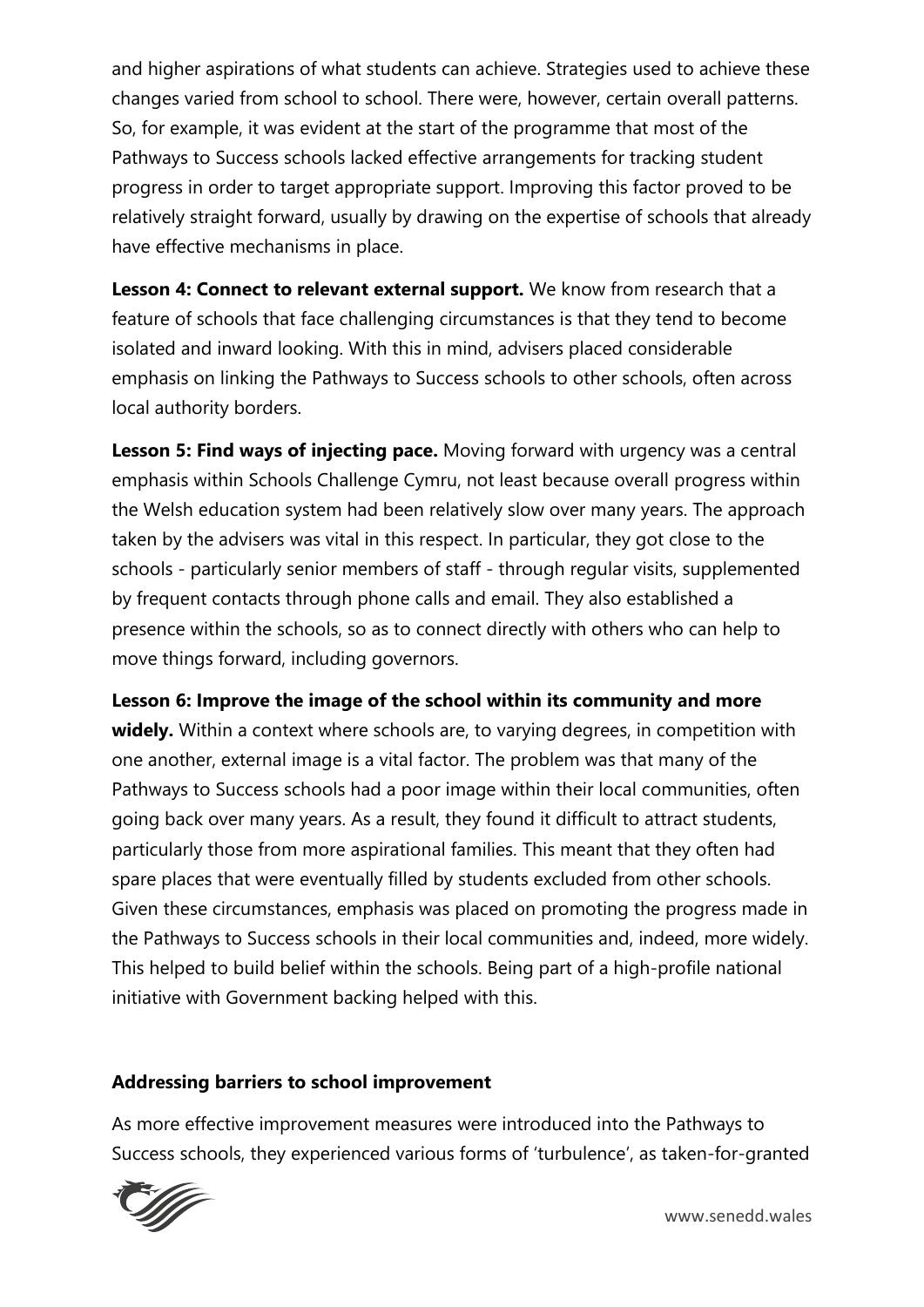and higher aspirations of what students can achieve. Strategies used to achieve these changes varied from school to school. There were, however, certain overall patterns. So, for example, it was evident at the start of the programme that most of the Pathways to Success schools lacked effective arrangements for tracking student progress in order to target appropriate support. Improving this factor proved to be relatively straight forward, usually by drawing on the expertise of schools that already have effective mechanisms in place.

Lesson 4: Connect to relevant external support. We know from research that a feature of schools that face challenging circumstances is that they tend to become isolated and inward looking. With this in mind, advisers placed considerable emphasis on linking the Pathways to Success schools to other schools, often across local authority borders.

**Lesson 5: Find ways of injecting pace.** Moving forward with urgency was a central emphasis within Schools Challenge Cymru, not least because overall progress within the Welsh education system had been relatively slow over many years. The approach taken by the advisers was vital in this respect. In particular, they got close to the schools - particularly senior members of staff - through regular visits, supplemented by frequent contacts through phone calls and email. They also established a presence within the schools, so as to connect directly with others who can help to move things forward, including governors.

### **Lesson 6: Improve the image of the school within its community and more**

**widely.** Within a context where schools are, to varying degrees, in competition with one another, external image is a vital factor. The problem was that many of the Pathways to Success schools had a poor image within their local communities, often going back over many years. As a result, they found it difficult to attract students, particularly those from more aspirational families. This meant that they often had spare places that were eventually filled by students excluded from other schools. Given these circumstances, emphasis was placed on promoting the progress made in the Pathways to Success schools in their local communities and, indeed, more widely. This helped to build belief within the schools. Being part of a high-profile national initiative with Government backing helped with this.

### **Addressing barriers to school improvement**

As more effective improvement measures were introduced into the Pathways to Success schools, they experienced various forms of 'turbulence', as taken-for-granted

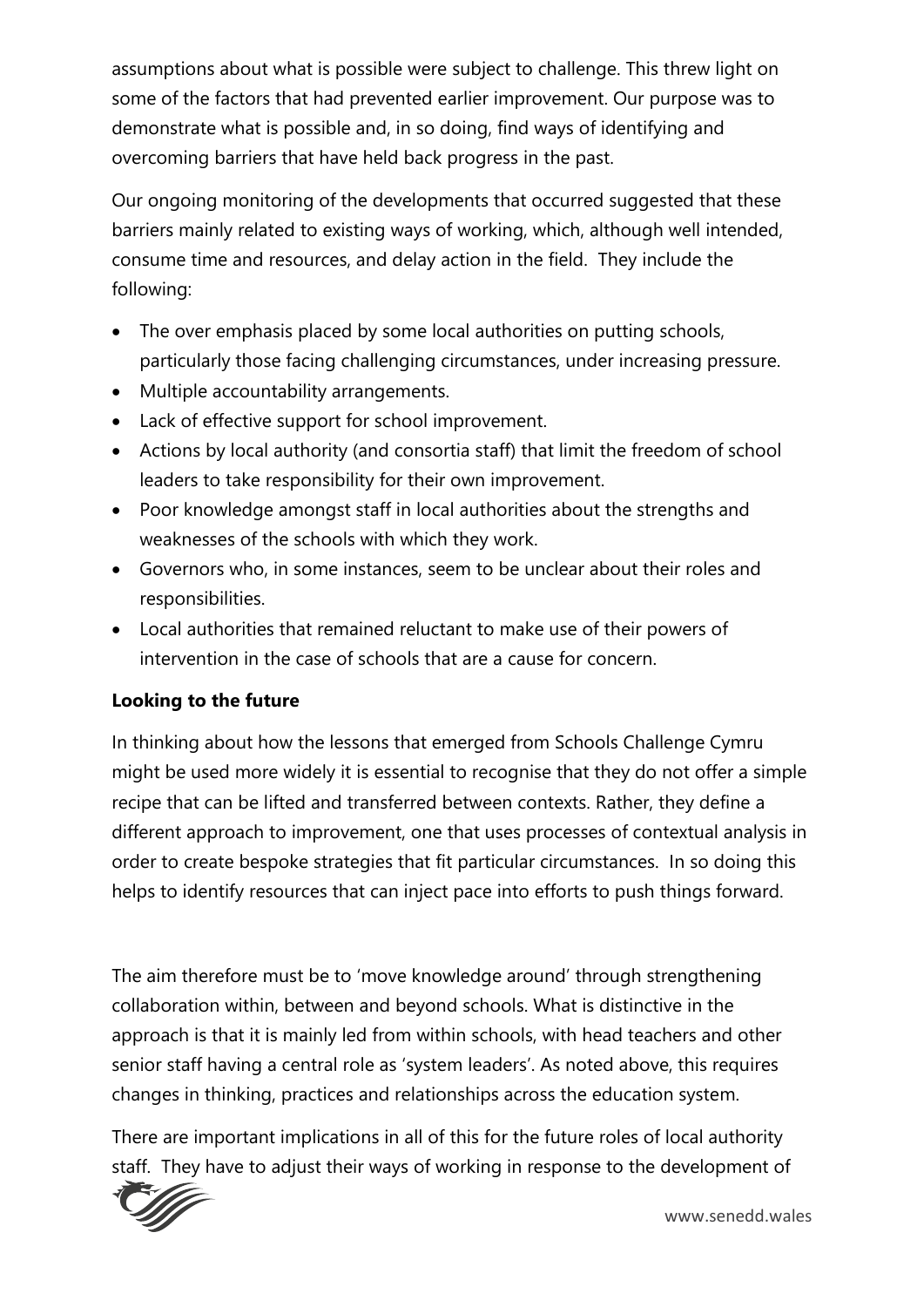assumptions about what is possible were subject to challenge. This threw light on some of the factors that had prevented earlier improvement. Our purpose was to demonstrate what is possible and, in so doing, find ways of identifying and overcoming barriers that have held back progress in the past.

Our ongoing monitoring of the developments that occurred suggested that these barriers mainly related to existing ways of working, which, although well intended, consume time and resources, and delay action in the field. They include the following:

- The over emphasis placed by some local authorities on putting schools, particularly those facing challenging circumstances, under increasing pressure.
- Multiple accountability arrangements.
- Lack of effective support for school improvement.
- Actions by local authority (and consortia staff) that limit the freedom of school leaders to take responsibility for their own improvement.
- Poor knowledge amongst staff in local authorities about the strengths and weaknesses of the schools with which they work.
- Governors who, in some instances, seem to be unclear about their roles and responsibilities.
- Local authorities that remained reluctant to make use of their powers of intervention in the case of schools that are a cause for concern.

## **Looking to the future**

In thinking about how the lessons that emerged from Schools Challenge Cymru might be used more widely it is essential to recognise that they do not offer a simple recipe that can be lifted and transferred between contexts. Rather, they define a different approach to improvement, one that uses processes of contextual analysis in order to create bespoke strategies that fit particular circumstances. In so doing this helps to identify resources that can inject pace into efforts to push things forward.

The aim therefore must be to 'move knowledge around' through strengthening collaboration within, between and beyond schools. What is distinctive in the approach is that it is mainly led from within schools, with head teachers and other senior staff having a central role as 'system leaders'. As noted above, this requires changes in thinking, practices and relationships across the education system.

There are important implications in all of this for the future roles of local authority staff. They have to adjust their ways of working in response to the development of

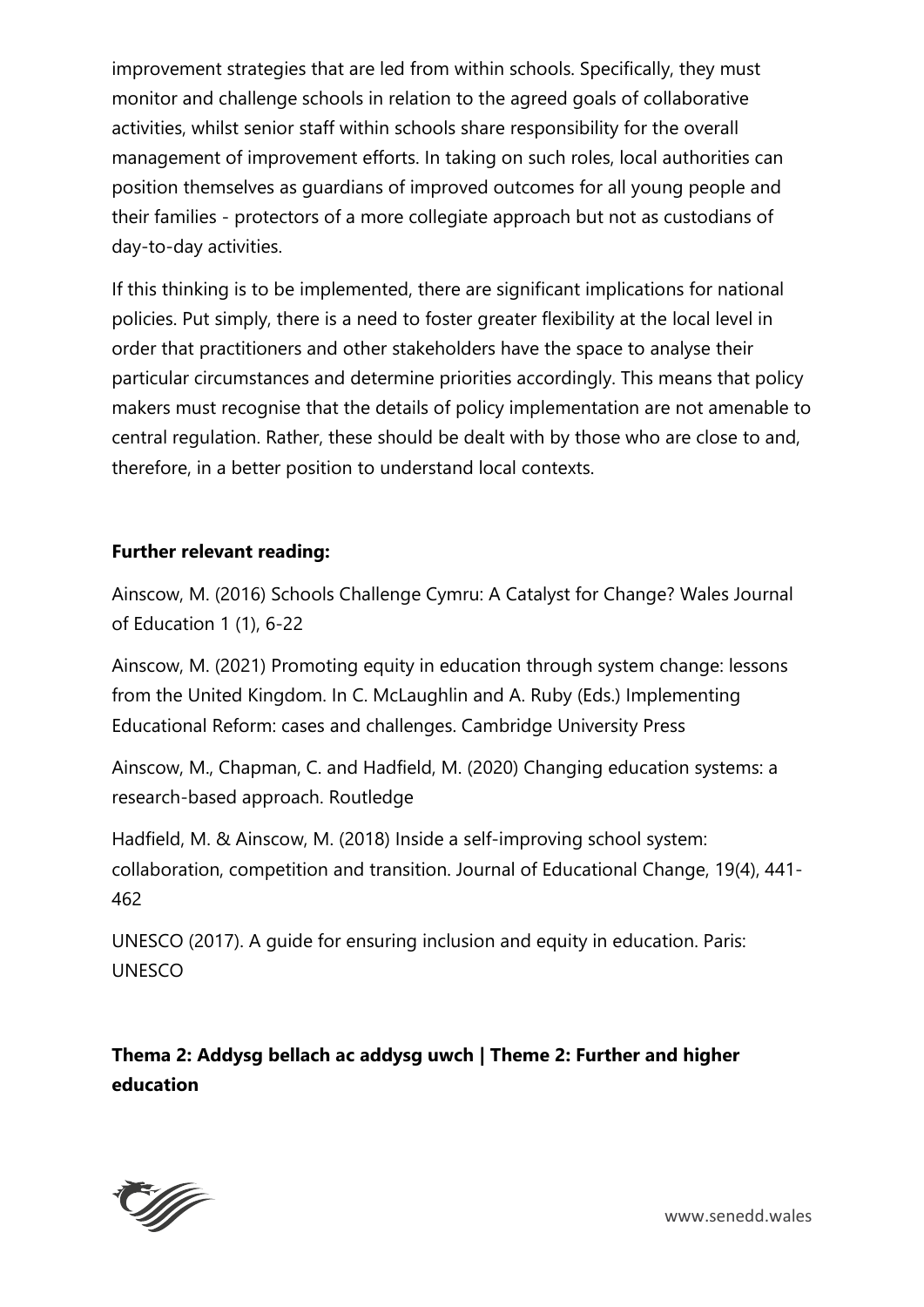improvement strategies that are led from within schools. Specifically, they must monitor and challenge schools in relation to the agreed goals of collaborative activities, whilst senior staff within schools share responsibility for the overall management of improvement efforts. In taking on such roles, local authorities can position themselves as guardians of improved outcomes for all young people and their families - protectors of a more collegiate approach but not as custodians of day-to-day activities.

If this thinking is to be implemented, there are significant implications for national policies. Put simply, there is a need to foster greater flexibility at the local level in order that practitioners and other stakeholders have the space to analyse their particular circumstances and determine priorities accordingly. This means that policy makers must recognise that the details of policy implementation are not amenable to central regulation. Rather, these should be dealt with by those who are close to and, therefore, in a better position to understand local contexts.

#### **Further relevant reading:**

Ainscow, M. (2016) Schools Challenge Cymru: A Catalyst for Change? Wales Journal of Education 1 (1), 6-22

Ainscow, M. (2021) Promoting equity in education through system change: lessons from the United Kingdom. In C. McLaughlin and A. Ruby (Eds.) Implementing Educational Reform: cases and challenges. Cambridge University Press

Ainscow, M., Chapman, C. and Hadfield, M. (2020) Changing education systems: a research-based approach. Routledge

Hadfield, M. & Ainscow, M. (2018) Inside a self-improving school system: collaboration, competition and transition. Journal of Educational Change, 19(4), 441- 462

UNESCO (2017). A guide for ensuring inclusion and equity in education. Paris: UNESCO

**Thema 2: Addysg bellach ac addysg uwch | Theme 2: Further and higher education** 



www.senedd.wales